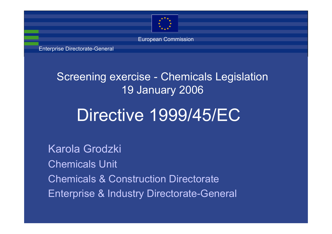

European Commission

Enterprise Directorate-General

Screening exercise - Chemicals Legislation 19 January 2006

# Directive 1999/45/EC

Karola Grodzki Chemicals Unit Chemicals & Construction DirectorateEnterprise & Industry Directorate-General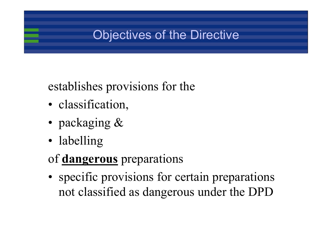## Objectives of the Directive

## establishes provisions for the

- classification,
- packaging &
- labelling

## of **dangerous** preparations

• specific provisions for certain preparations not classified as dangerous under the DPD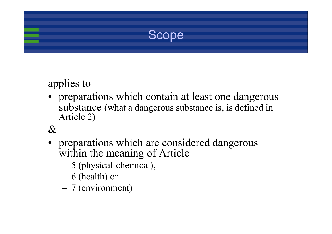

applies to

• preparations which contain at least one dangerous substance (what a dangerous substance is, is defined in Article 2)

&

- • preparations which are considered dangerous within the meaning of Article
	- 5 (physical-chemical),
	- 6 (health) or
	- 7 (environment)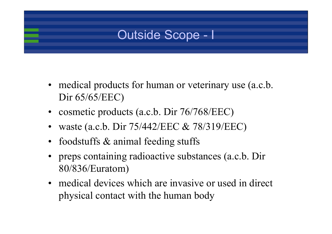

- medical products for human or veterinary use (a.c.b. Dir 65/65/EEC)
- cosmetic products (a.c.b. Dir 76/768/EEC)
- •waste (a.c.b. Dir 75/442/EEC & 78/319/EEC)
- foodstuffs & animal feeding stuffs
- preps containing radioactive substances (a.c.b. Dir 80/836/Euratom)
- medical devices which are invasive or used in direct physical contact with the human body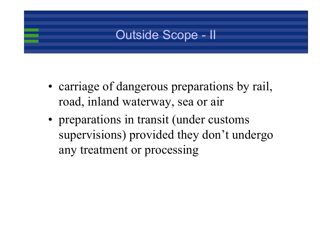### Outside Scope - II

- carriage of dangerous preparations by rail, road, inland waterway, sea or air
- preparations in transit (under customs supervisions) provided they don't undergo any treatment or processing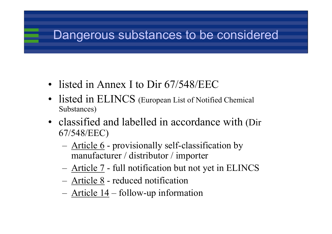## Dangerous substances to be considered

- listed in Annex I to Dir 67/548/EEC
- listed in ELINCS (European List of Notified Chemical Substances)
- classified and labelled in accordance with (Dir 67/548/EEC)
	- Article 6 provisionally self-classification by manufacturer / distributor / importer
	- Article 7 full notification but not yet in ELINCS
	- Article 8 reduced notification
	- Article 14 follow-up information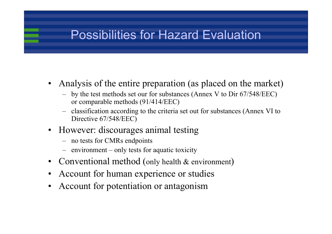## Possibilities for Hazard Evaluation

- Analysis of the entire preparation (as placed on the market)
	- by the test methods set our for substances (Annex V to Dir 67/548/EEC) or comparable methods (91/414/EEC)
	- classification according to the criteria set out for substances (Annex VI to Directive 67/548/EEC)
- However: discourages animal testing
	- no tests for CMRs endpoints
	- environment only tests for aquatic toxicity
- •Conventional method (only health & environment )
- •Account for human experience or studies
- •Account for potentiation or antagonism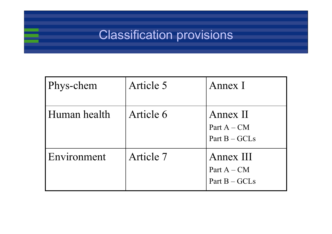## Classification provisions

| Phys-chem    | Article 5 | Annex I                                     |
|--------------|-----------|---------------------------------------------|
| Human health | Article 6 | Annex II<br>Part A – CM<br>Part $B - GCLs$  |
| Environment  | Article 7 | Annex III<br>Part $A - CM$<br>Part B – GCLs |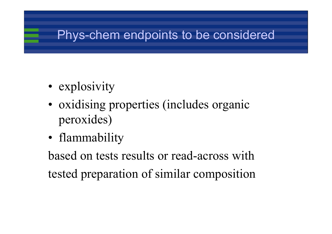## Phys-chem endpoints to be considered

- explosivity
- oxidising properties (includes organic peroxides)
- flammability

based on tests results or read-across with tested preparation of similar composition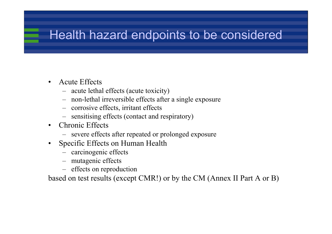## Health hazard endpoints to be considered

- • Acute Effects
	- acute lethal effects (acute toxicity)
	- non-lethal irreversible effects after a single exposure
	- corrosive effects, irritant effects
	- –sensitising effects (contact and respiratory)
- • Chronic Effects
	- severe effects after repeated or prolonged exposure
- • Specific Effects on Human Health
	- carcinogenic effects
	- mutagenic effects
	- effects on reproduction

based on test results (except CMR!) or by the CM (Annex II Part A or B)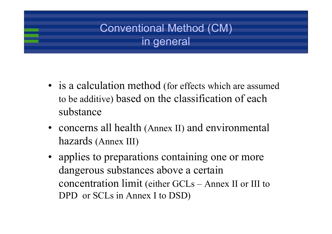#### Conventional Method (CM) in general

- is a calculation method (for effects which are assumed to be additive) based on the classification of each substance
- concerns all health (Annex II) and environmental hazards (Annex III)
- applies to preparations containing one or more dangerous substances above a certain concentration limit (either GCLs – Annex II or III to DPD or SCLs in Annex I to DSD)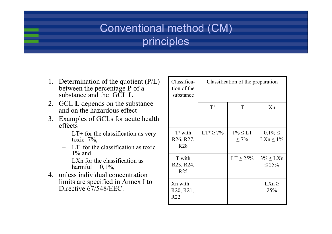#### Conventional method (CM) principles

- 1. Determination of the quotient (P/L) between the percentage **P** of a substance and the GCL **L**.
- 2. GCL **L** depends on the substance and on the hazardous effect
- 3. Examples of GCLs for acute health effects
	- LT+ for the classification as very toxic 7%,
	- LT for the classification as toxic  $1\%$  and
	- LXn for the classification as harmful  $0,1\%$ ,
- 4. unless individual concentration limits are specified in Annex I to Directive 67/548/EEC.

| Classifica-<br>tion of the<br>substance                              | Classification of the preparation |                             |                                |
|----------------------------------------------------------------------|-----------------------------------|-----------------------------|--------------------------------|
|                                                                      | $T^+$                             | T                           | Xn                             |
| $T^+$ with<br>R <sub>26</sub> , R <sub>27</sub> ,<br>R <sub>28</sub> | $LT^* \geq 7\%$                   | $1\% \leq LT$<br>$\leq 7\%$ | $0,1\% \leq$<br>$LXn \leq 1\%$ |
| T with<br>R23, R24,<br>R <sub>25</sub>                               |                                   | $LT \geq 25\%$              | $3\% \leq LXn$<br>$\leq$ 25%   |
| Xn with<br>R <sub>20</sub> , R <sub>21</sub> ,<br>R <sub>22</sub>    |                                   |                             | LXn ><br>25%                   |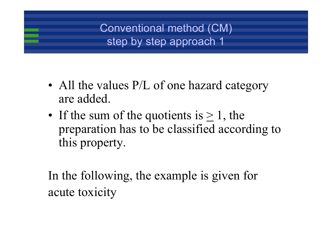Conventional method (CM) step by step approach 1

- All the values P/L of one hazard category are added.
- If the sum of the quotients is  $\geq 1$ , the preparation has to be classified according to this property.

In the following, the example is given for acute toxicity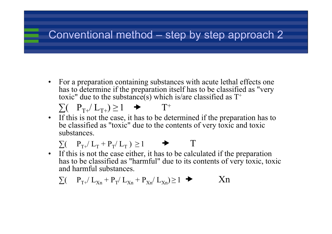#### Conventional method – step by step approach 2

• For a preparation containing substances with acute lethal effects one has to determine if the preparation itself has to be classified as "very toxic" due to the substance(s) which is/are classified as  $\mathrm{T}^+$ 

 $\sum$ ( P<sub>T+</sub>/ L<sub>T+</sub>)  $\geq$  1  $\rightarrow$  $\rm T$ +

• If this is not the case, it has to be determined if the preparation has to be classified as "toxic" due to the contents of very toxic and toxic substances.

 $\sum ($   $P_{T+} / L_T + P_{T} / L_T ) \ge 1$  $\blacktriangleright$ T

• If this is not the case either, it has to be calculated if the preparation has to be classified as "harmful" due to its contents of very toxic, toxic and harmful substances.

$$
\sum (P_{T+} / L_{Xn} + P_{T} / L_{Xn} + P_{Xn} / L_{Xn}) \ge 1 \quad \blacktriangleright \qquad Xn
$$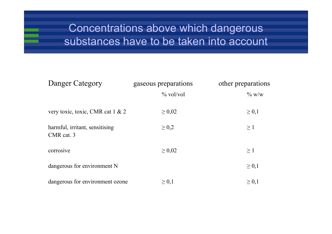#### Concentrations above which dangerous substances have to be taken into account

| Danger Category                              | gaseous preparations | other preparations |  |
|----------------------------------------------|----------------------|--------------------|--|
|                                              | $\%$ vol/vol         | $\%$ W/W           |  |
| very toxic, toxic, CMR cat 1 & 2             | $\geq 0.02$          | $\geq 0,1$         |  |
| harmful, irritant, sensitising<br>CMR cat. 3 | $\geq 0.2$           | $\geq 1$           |  |
| corrosive                                    | $\geq 0.02$          | $\geq 1$           |  |
| dangerous for environment N                  |                      | $\geq 0,1$         |  |
| dangerous for environment ozone              | $\geq 0,1$           | $\geq 0,1$         |  |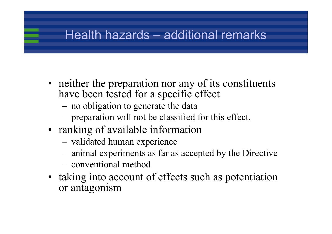## Health hazards – additional remarks

- neither the preparation nor any of its constituents have been tested for a specific effect
	- no obligation to generate the data
	- preparation will not be classified for this effect.
- ranking of available information
	- validated human experience
	- animal experiments as far as accepted by the Directive
	- conventional method
- taking into account of effects such as potentiation or antagonism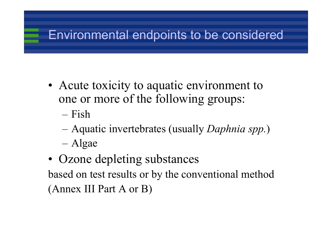## Environmental endpoints to be considered

- Acute toxicity to aquatic environment to one or more of the following groups:
	- Fish
	- Aquatic invertebrates (usually *Daphnia spp.* ) Algae
- Ozone depleting substances based on test results or by the conventional method (Annex III Part A or B)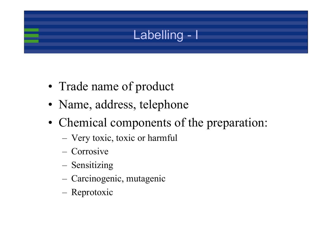

- Trade name of product
- Name, address, telephone
- Chemical components of the preparation:
	- Very toxic, toxic or harmful
	- Corrosive
	- Sensitizing
	- Carcinogenic, mutagenic
	- Reprotoxic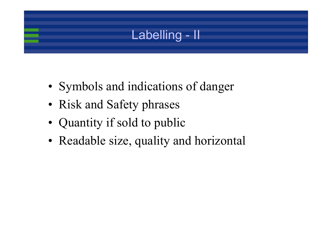## Labelling - II

- Symbols and indications of danger
- Risk and Safety phrases
- Quantity if sold to public
- Readable size, quality and horizontal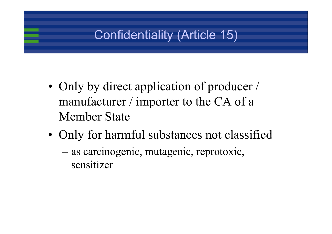## Confidentiality (Article 15)

- Only by direct application of producer / manufacturer / importer to the CA of a Member State
- Only for harmful substances not classified
	- as carcinogenic, mutagenic, reprotoxic, sensitizer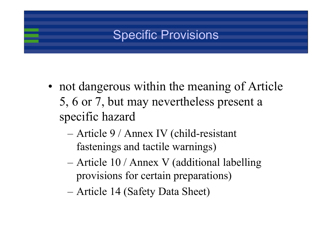## Specific Provisions

- not dangerous within the meaning of Article 5, 6 or 7, but may nevertheless present a specific hazard
	- – Article 9 / Annex IV (child-resistant fastenings and tactile warnings)
	- – Article 10 / Annex V (additional labelling provisions for certain preparations)
	- –Article 14 (Safety Data Sheet)